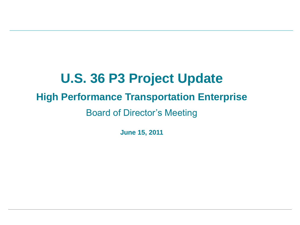# **U.S. 36 P3 Project Update High Performance Transportation Enterprise**  Board of Director's Meeting

**June 15, 2011**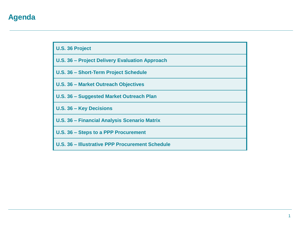## **Agenda**

| <b>U.S. 36 Project</b> |
|------------------------|
|------------------------|

| U.S. 36 - Project Delivery Evaluation Approach |  |  |  |
|------------------------------------------------|--|--|--|
|------------------------------------------------|--|--|--|

**U.S. 36 – Short-Term Project Schedule**

**U.S. 36 – Market Outreach Objectives**

**U.S. 36 – Suggested Market Outreach Plan**

**U.S. 36 – Key Decisions**

**U.S. 36 – Financial Analysis Scenario Matrix**

**U.S. 36 – Steps to a PPP Procurement**

**U.S. 36 – Illustrative PPP Procurement Schedule**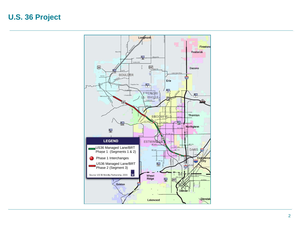## **U.S. 36 Project**

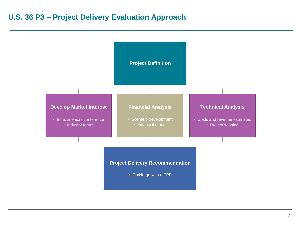## **U.S. 36 P3 – Project Delivery Evaluation Approach**

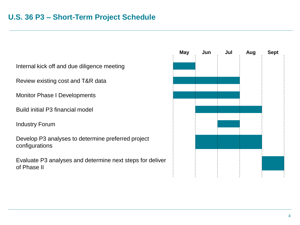Internal kick off and due diligence meeting

Review existing cost and T&R data

Monitor Phase I Developments

Build initial P3 financial model

Industry Forum

Develop P3 analyses to determine preferred project configurations

Evaluate P3 analyses and determine next steps for deliver of Phase II

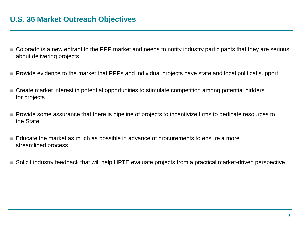### **U.S. 36 Market Outreach Objectives**

- Colorado is a new entrant to the PPP market and needs to notify industry participants that they are serious about delivering projects
- Provide evidence to the market that PPPs and individual projects have state and local political support
- Create market interest in potential opportunities to stimulate competition among potential bidders for projects
- Provide some assurance that there is pipeline of projects to incentivize firms to dedicate resources to the State
- Educate the market as much as possible in advance of procurements to ensure a more streamlined process
- Solicit industry feedback that will help HPTE evaluate projects from a practical market-driven perspective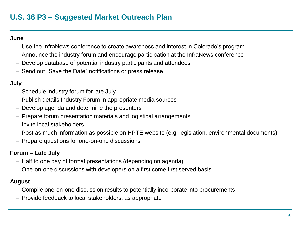# **U.S. 36 P3 – Suggested Market Outreach Plan**

#### **June**

- Use the InfraNews conference to create awareness and interest in Colorado's program
- Announce the industry forum and encourage participation at the InfraNews conference
- Develop database of potential industry participants and attendees
- Send out "Save the Date" notifications or press release

#### **July**

- Schedule industry forum for late July
- Publish details Industry Forum in appropriate media sources
- Develop agenda and determine the presenters
- Prepare forum presentation materials and logistical arrangements
- Invite local stakeholders
- Post as much information as possible on HPTE website (e.g. legislation, environmental documents)
- Prepare questions for one-on-one discussions

#### **Forum – Late July**

- Half to one day of formal presentations (depending on agenda)
- One-on-one discussions with developers on a first come first served basis

#### **August**

- Compile one-on-one discussion results to potentially incorporate into procurements
- Provide feedback to local stakeholders, as appropriate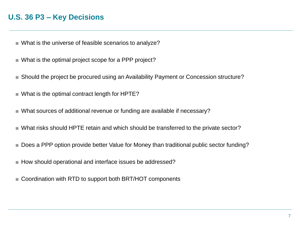## **U.S. 36 P3 – Key Decisions**

- What is the universe of feasible scenarios to analyze?
- What is the optimal project scope for a PPP project?
- Should the project be procured using an Availability Payment or Concession structure?
- What is the optimal contract length for HPTE?
- What sources of additional revenue or funding are available if necessary?
- What risks should HPTE retain and which should be transferred to the private sector?
- Does a PPP option provide better Value for Money than traditional public sector funding?
- How should operational and interface issues be addressed?
- Coordination with RTD to support both BRT/HOT components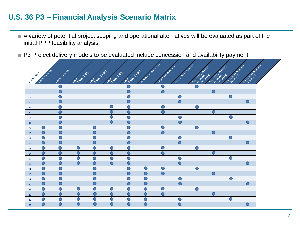# **U.S. 36 P3 – Financial Analysis Scenario Matrix**

- A variety of potential project scoping and operational alternatives will be evaluated as part of the initial PPP feasibility analysis
- P3 Project delivery models to be evaluated include concession and availability payment

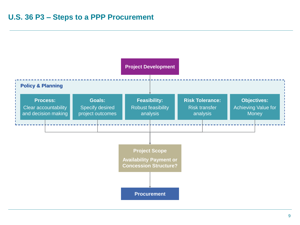![](_page_9_Figure_1.jpeg)